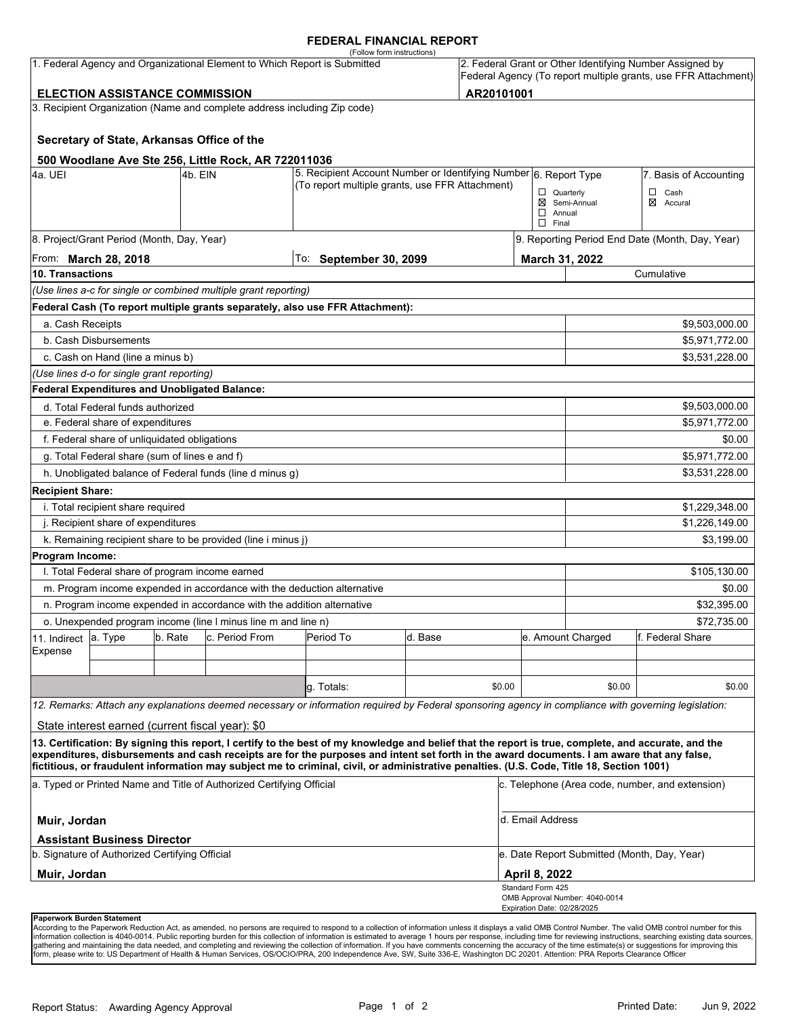#### **FEDERAL FINANCIAL REPORT**

|                                                                           |                                                                                      |         |                                                                          | (Follow form instructions)                                                                                                                                                                                                                                                              |                                                                  |        |                                                                                                                            |                                             |                                                 |  |
|---------------------------------------------------------------------------|--------------------------------------------------------------------------------------|---------|--------------------------------------------------------------------------|-----------------------------------------------------------------------------------------------------------------------------------------------------------------------------------------------------------------------------------------------------------------------------------------|------------------------------------------------------------------|--------|----------------------------------------------------------------------------------------------------------------------------|---------------------------------------------|-------------------------------------------------|--|
| 1. Federal Agency and Organizational Element to Which Report is Submitted |                                                                                      |         |                                                                          |                                                                                                                                                                                                                                                                                         |                                                                  |        | 2. Federal Grant or Other Identifying Number Assigned by<br>Federal Agency (To report multiple grants, use FFR Attachment) |                                             |                                                 |  |
| AR20101001<br><b>ELECTION ASSISTANCE COMMISSION</b>                       |                                                                                      |         |                                                                          |                                                                                                                                                                                                                                                                                         |                                                                  |        |                                                                                                                            |                                             |                                                 |  |
|                                                                           |                                                                                      |         | 3. Recipient Organization (Name and complete address including Zip code) |                                                                                                                                                                                                                                                                                         |                                                                  |        |                                                                                                                            |                                             |                                                 |  |
|                                                                           | Secretary of State, Arkansas Office of the                                           |         |                                                                          |                                                                                                                                                                                                                                                                                         |                                                                  |        |                                                                                                                            |                                             |                                                 |  |
|                                                                           |                                                                                      |         | 500 Woodlane Ave Ste 256, Little Rock, AR 722011036                      |                                                                                                                                                                                                                                                                                         |                                                                  |        |                                                                                                                            |                                             |                                                 |  |
| 4a. UEI                                                                   |                                                                                      | 4b. EIN |                                                                          |                                                                                                                                                                                                                                                                                         | 5. Recipient Account Number or Identifying Number 6. Report Type |        |                                                                                                                            | 7. Basis of Accounting                      |                                                 |  |
|                                                                           |                                                                                      |         |                                                                          | (To report multiple grants, use FFR Attachment)                                                                                                                                                                                                                                         |                                                                  |        | $\Box$ Quarterly                                                                                                           |                                             | $\Box$ Cash                                     |  |
|                                                                           |                                                                                      |         |                                                                          |                                                                                                                                                                                                                                                                                         | ⊠ Semi-Annual<br>$\Box$ Annual<br>$\Box$ Final                   |        | ⊠ Accural                                                                                                                  |                                             |                                                 |  |
|                                                                           | 8. Project/Grant Period (Month, Day, Year)                                           |         |                                                                          |                                                                                                                                                                                                                                                                                         |                                                                  |        | 9. Reporting Period End Date (Month, Day, Year)                                                                            |                                             |                                                 |  |
| From: <b>March 28, 2018</b>                                               |                                                                                      |         |                                                                          | To: September 30, 2099                                                                                                                                                                                                                                                                  |                                                                  |        | March 31, 2022                                                                                                             |                                             |                                                 |  |
| 10. Transactions                                                          |                                                                                      |         |                                                                          |                                                                                                                                                                                                                                                                                         |                                                                  |        |                                                                                                                            | Cumulative                                  |                                                 |  |
|                                                                           |                                                                                      |         | (Use lines a-c for single or combined multiple grant reporting)          |                                                                                                                                                                                                                                                                                         |                                                                  |        |                                                                                                                            |                                             |                                                 |  |
|                                                                           |                                                                                      |         |                                                                          | Federal Cash (To report multiple grants separately, also use FFR Attachment):                                                                                                                                                                                                           |                                                                  |        |                                                                                                                            |                                             |                                                 |  |
| a. Cash Receipts                                                          |                                                                                      |         |                                                                          |                                                                                                                                                                                                                                                                                         |                                                                  |        |                                                                                                                            |                                             | \$9,503,000.00                                  |  |
|                                                                           | b. Cash Disbursements                                                                |         |                                                                          |                                                                                                                                                                                                                                                                                         |                                                                  |        |                                                                                                                            |                                             | \$5,971,772.00                                  |  |
|                                                                           | c. Cash on Hand (line a minus b)                                                     |         |                                                                          |                                                                                                                                                                                                                                                                                         |                                                                  |        |                                                                                                                            |                                             | \$3,531,228.00                                  |  |
|                                                                           | (Use lines d-o for single grant reporting)                                           |         |                                                                          |                                                                                                                                                                                                                                                                                         |                                                                  |        |                                                                                                                            |                                             |                                                 |  |
|                                                                           | <b>Federal Expenditures and Unobligated Balance:</b>                                 |         |                                                                          |                                                                                                                                                                                                                                                                                         |                                                                  |        |                                                                                                                            |                                             |                                                 |  |
|                                                                           | d. Total Federal funds authorized                                                    |         |                                                                          |                                                                                                                                                                                                                                                                                         |                                                                  |        |                                                                                                                            |                                             | \$9,503,000.00                                  |  |
|                                                                           | e. Federal share of expenditures                                                     |         |                                                                          |                                                                                                                                                                                                                                                                                         |                                                                  |        |                                                                                                                            |                                             | \$5,971,772.00                                  |  |
|                                                                           | f. Federal share of unliquidated obligations                                         |         |                                                                          |                                                                                                                                                                                                                                                                                         |                                                                  |        |                                                                                                                            |                                             | \$0.00                                          |  |
|                                                                           | g. Total Federal share (sum of lines e and f)                                        |         |                                                                          |                                                                                                                                                                                                                                                                                         |                                                                  |        |                                                                                                                            | \$5,971,772.00                              |                                                 |  |
|                                                                           |                                                                                      |         | h. Unobligated balance of Federal funds (line d minus g)                 |                                                                                                                                                                                                                                                                                         |                                                                  |        |                                                                                                                            |                                             | \$3,531,228.00                                  |  |
| <b>Recipient Share:</b>                                                   |                                                                                      |         |                                                                          |                                                                                                                                                                                                                                                                                         |                                                                  |        |                                                                                                                            |                                             |                                                 |  |
|                                                                           | i. Total recipient share required                                                    |         |                                                                          |                                                                                                                                                                                                                                                                                         |                                                                  |        |                                                                                                                            |                                             | \$1,229,348.00                                  |  |
|                                                                           | j. Recipient share of expenditures                                                   |         |                                                                          |                                                                                                                                                                                                                                                                                         |                                                                  |        | \$1,226,149.00                                                                                                             |                                             |                                                 |  |
|                                                                           |                                                                                      |         | k. Remaining recipient share to be provided (line i minus j)             |                                                                                                                                                                                                                                                                                         |                                                                  |        |                                                                                                                            |                                             | \$3,199.00                                      |  |
| Program Income:                                                           |                                                                                      |         |                                                                          |                                                                                                                                                                                                                                                                                         |                                                                  |        |                                                                                                                            |                                             |                                                 |  |
|                                                                           | I. Total Federal share of program income earned                                      |         |                                                                          |                                                                                                                                                                                                                                                                                         |                                                                  |        |                                                                                                                            |                                             | \$105,130.00                                    |  |
|                                                                           |                                                                                      |         |                                                                          | m. Program income expended in accordance with the deduction alternative                                                                                                                                                                                                                 |                                                                  |        |                                                                                                                            |                                             | \$0.00                                          |  |
|                                                                           |                                                                                      |         | n. Program income expended in accordance with the addition alternative   |                                                                                                                                                                                                                                                                                         |                                                                  |        |                                                                                                                            | \$32,395.00                                 |                                                 |  |
|                                                                           |                                                                                      |         | o. Unexpended program income (line I minus line m and line n)            |                                                                                                                                                                                                                                                                                         |                                                                  |        |                                                                                                                            |                                             | \$72,735.00                                     |  |
| 11. Indirect                                                              | a. Type                                                                              | b. Rate | c. Period From                                                           | Period To                                                                                                                                                                                                                                                                               | d. Base                                                          |        |                                                                                                                            | e. Amount Charged<br>f. Federal Share       |                                                 |  |
| Expense                                                                   |                                                                                      |         |                                                                          |                                                                                                                                                                                                                                                                                         |                                                                  |        |                                                                                                                            |                                             |                                                 |  |
|                                                                           |                                                                                      |         |                                                                          |                                                                                                                                                                                                                                                                                         |                                                                  |        |                                                                                                                            |                                             |                                                 |  |
|                                                                           |                                                                                      |         |                                                                          | q. Totals:                                                                                                                                                                                                                                                                              |                                                                  | \$0.00 |                                                                                                                            | \$0.00                                      | \$0.00                                          |  |
|                                                                           |                                                                                      |         |                                                                          | 12. Remarks: Attach any explanations deemed necessary or information required by Federal sponsoring agency in compliance with governing legislation:                                                                                                                                    |                                                                  |        |                                                                                                                            |                                             |                                                 |  |
|                                                                           | State interest earned (current fiscal year): \$0                                     |         |                                                                          |                                                                                                                                                                                                                                                                                         |                                                                  |        |                                                                                                                            |                                             |                                                 |  |
|                                                                           |                                                                                      |         |                                                                          | 13. Certification: By signing this report, I certify to the best of my knowledge and belief that the report is true, complete, and accurate, and the                                                                                                                                    |                                                                  |        |                                                                                                                            |                                             |                                                 |  |
|                                                                           |                                                                                      |         |                                                                          | expenditures, disbursements and cash receipts are for the purposes and intent set forth in the award documents. I am aware that any false,<br>fictitious, or fraudulent information may subject me to criminal, civil, or administrative penalties. (U.S. Code, Title 18, Section 1001) |                                                                  |        |                                                                                                                            |                                             |                                                 |  |
|                                                                           |                                                                                      |         | a. Typed or Printed Name and Title of Authorized Certifying Official     |                                                                                                                                                                                                                                                                                         |                                                                  |        |                                                                                                                            |                                             | c. Telephone (Area code, number, and extension) |  |
| Muir, Jordan                                                              |                                                                                      |         |                                                                          |                                                                                                                                                                                                                                                                                         |                                                                  |        | d. Email Address                                                                                                           |                                             |                                                 |  |
|                                                                           | <b>Assistant Business Director</b><br>b. Signature of Authorized Certifying Official |         |                                                                          |                                                                                                                                                                                                                                                                                         |                                                                  |        |                                                                                                                            | e. Date Report Submitted (Month, Day, Year) |                                                 |  |
| Muir, Jordan                                                              |                                                                                      |         |                                                                          |                                                                                                                                                                                                                                                                                         |                                                                  |        | April 8, 2022                                                                                                              |                                             |                                                 |  |
|                                                                           |                                                                                      |         |                                                                          |                                                                                                                                                                                                                                                                                         |                                                                  |        | Standard Form 425                                                                                                          | OMB Approval Number: 4040-0014              |                                                 |  |
|                                                                           | <b>Paperwork Burden Statement</b>                                                    |         |                                                                          |                                                                                                                                                                                                                                                                                         |                                                                  |        | Expiration Date: 02/28/2025                                                                                                |                                             |                                                 |  |

According to the Paperwork Reduction Act, as amended, no persons are required to respond to a collection of information unless it displays a valid OMB Control Number. The valid OMB control number for this<br>information colle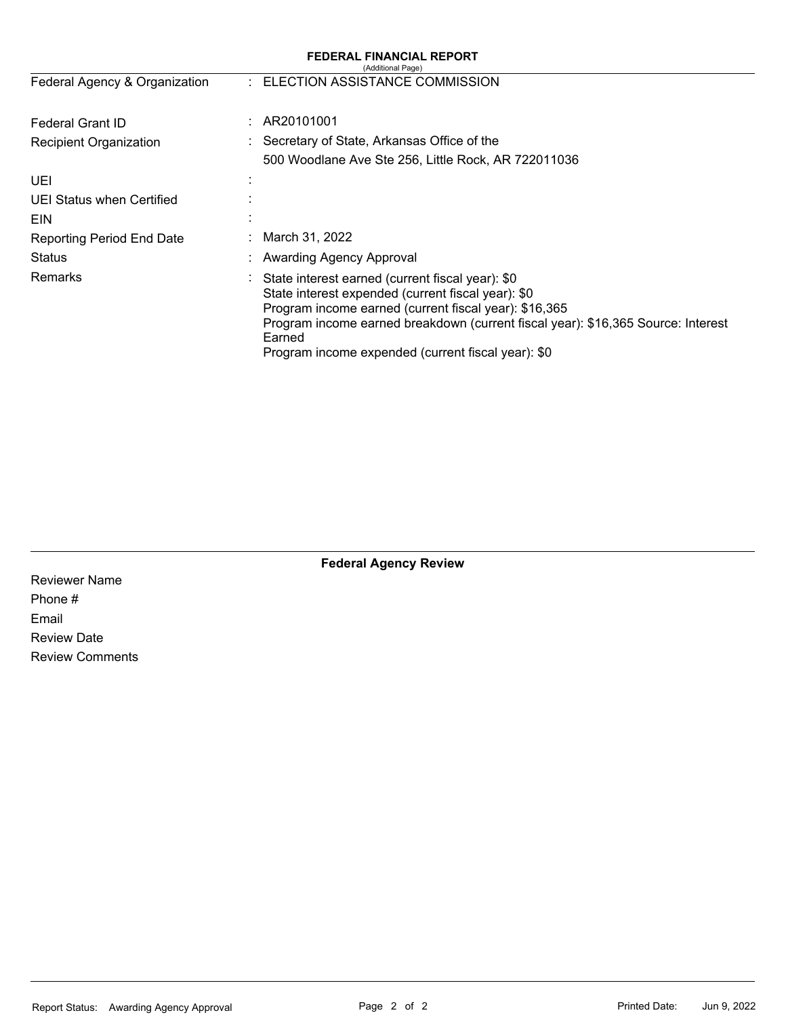| <b>FEDERAL FINANCIAL REPORT</b><br>(Additional Page) |                                                                                                                                                                                                                                                                                                                     |  |  |  |  |  |
|------------------------------------------------------|---------------------------------------------------------------------------------------------------------------------------------------------------------------------------------------------------------------------------------------------------------------------------------------------------------------------|--|--|--|--|--|
| Federal Agency & Organization                        | : ELECTION ASSISTANCE COMMISSION                                                                                                                                                                                                                                                                                    |  |  |  |  |  |
| <b>Federal Grant ID</b>                              | AR20101001                                                                                                                                                                                                                                                                                                          |  |  |  |  |  |
| <b>Recipient Organization</b>                        | Secretary of State, Arkansas Office of the                                                                                                                                                                                                                                                                          |  |  |  |  |  |
|                                                      | 500 Woodlane Ave Ste 256, Little Rock, AR 722011036                                                                                                                                                                                                                                                                 |  |  |  |  |  |
| UEI                                                  |                                                                                                                                                                                                                                                                                                                     |  |  |  |  |  |
| UEI Status when Certified                            |                                                                                                                                                                                                                                                                                                                     |  |  |  |  |  |
| EIN                                                  |                                                                                                                                                                                                                                                                                                                     |  |  |  |  |  |
| <b>Reporting Period End Date</b>                     | March 31, 2022                                                                                                                                                                                                                                                                                                      |  |  |  |  |  |
| Status                                               | Awarding Agency Approval                                                                                                                                                                                                                                                                                            |  |  |  |  |  |
| Remarks                                              | State interest earned (current fiscal year): \$0<br>State interest expended (current fiscal year): \$0<br>Program income earned (current fiscal year): \$16,365<br>Program income earned breakdown (current fiscal year): \$16,365 Source: Interest<br>Earned<br>Program income expended (current fiscal year): \$0 |  |  |  |  |  |

**Federal Agency Review** 

Reviewer Name Phone # Email Review Date Review Comments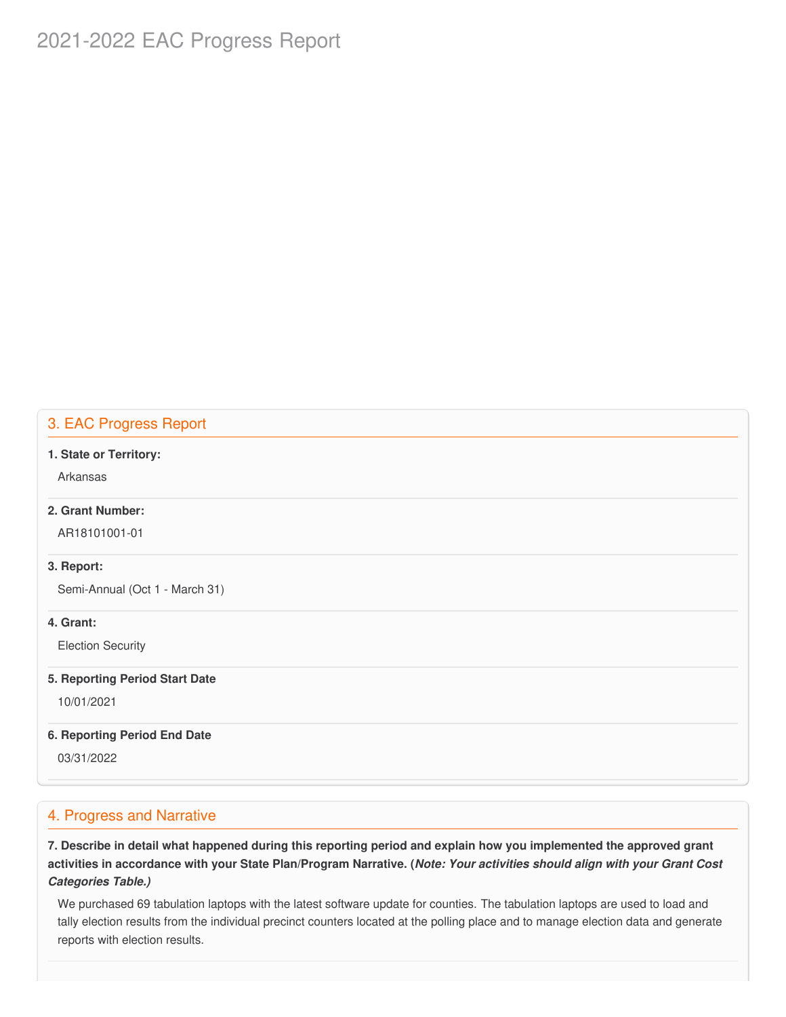# 2021-2022 EAC Progress Report

## 3. EAC Progress Report

#### **1. State or Territory:**

Arkansas

### **2. Grant Number:**

AR18101001-01

#### **3. Report:**

Semi-Annual (Oct 1 - March 31)

#### **4. Grant:**

Election Security

#### **5. Reporting Period Start Date**

10/01/2021

#### **6. Reporting Period End Date**

03/31/2022

## 4. Progress and Narrative

7. Describe in detail what happened during this reporting period and explain how you implemented the approved grant activities in accordance with your State Plan/Program Narrative. (*Note: Your activities should align with your Grant Cost Categories Table.)*

 We purchased 69 tabulation laptops with the latest software update for counties. The tabulation laptops are used to load and tally election results from the individual precinct counters located at the polling place and to manage election data and generate reports with election results.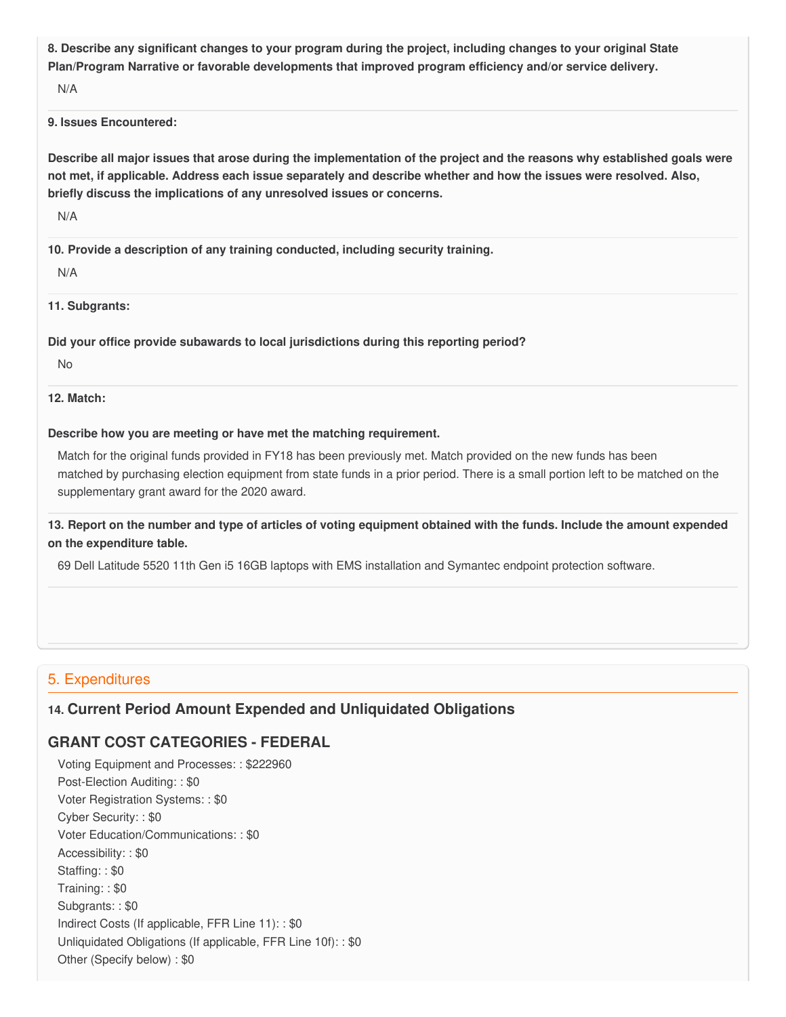8. Describe any significant changes to your program during the project, including changes to your original State  **Plan/Program Narrative or favorable developments that improved program efficiency and/or service delivery.**

N/A

#### **9. Issues Encountered:**

Describe all major issues that arose during the implementation of the project and the reasons why established goals were not met, if applicable. Address each issue separately and describe whether and how the issues were resolved. Also,  **briefly discuss the implications of any unresolved issues or concerns.**

N/A

 **10. Provide a description of any training conducted, including security training.**

N/A

**11. Subgrants:**

 **Did your office provide subawards to local jurisdictions during this reporting period?**

No

**12. Match:**

#### **Describe how you are meeting or have met the matching requirement.**

 Match for the original funds provided in FY18 has been previously met. Match provided on the new funds has been matched by purchasing election equipment from state funds in a prior period. There is a small portion left to be matched on the supplementary grant award for the 2020 award.

13. Report on the number and type of articles of voting equipment obtained with the funds. Include the amount expended  **on the expenditure table.**

69 Dell Latitude 5520 11th Gen i5 16GB laptops with EMS installation and Symantec endpoint protection software.

## 5. Expenditures

## **14. Current Period Amount Expended and Unliquidated Obligations**

## **GRANT COST CATEGORIES - FEDERAL**

 Voting Equipment and Processes: : \$222960 Post-Election Auditing: : \$0 Voter Registration Systems: : \$0 Cyber Security: : \$0 Voter Education/Communications: : \$0 Accessibility: : \$0 Staffing: : \$0 Training: : \$0 Subgrants: : \$0 Indirect Costs (If applicable, FFR Line 11): : \$0 Unliquidated Obligations (If applicable, FFR Line 10f): : \$0 Other (Specify below) : \$0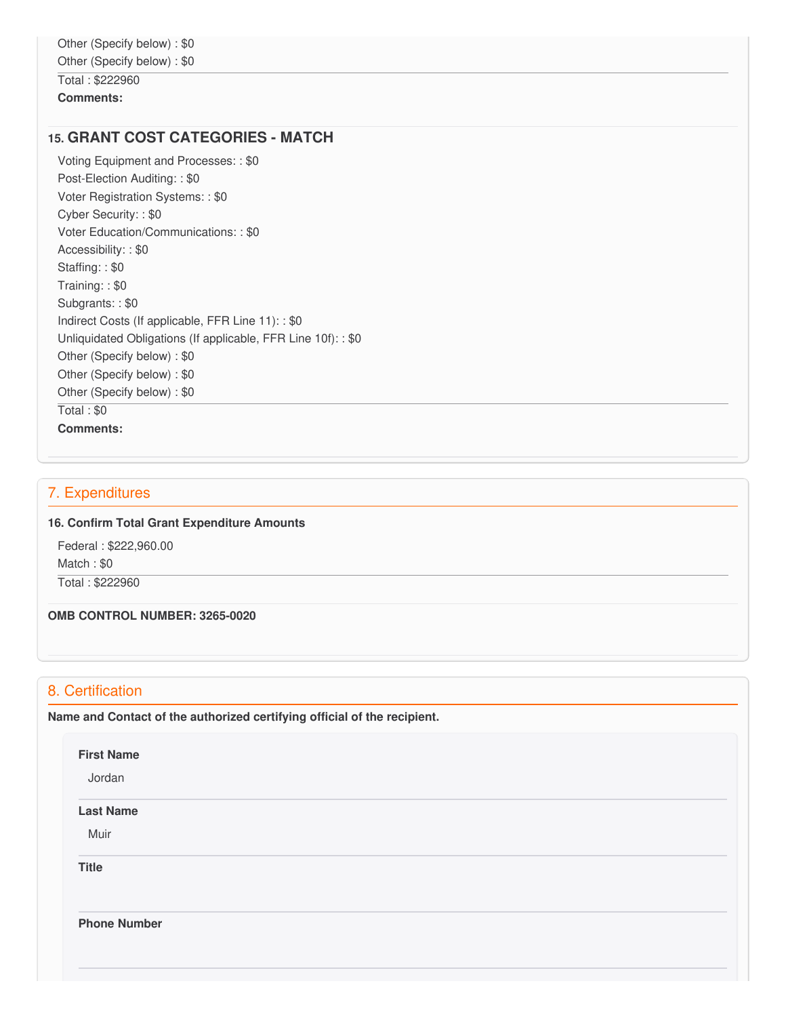## **15. GRANT COST CATEGORIES - MATCH**

 Voting Equipment and Processes: : \$0 Post-Election Auditing: : \$0 Voter Registration Systems: : \$0 Cyber Security: : \$0 Voter Education/Communications: : \$0 Accessibility: : \$0 Staffing: : \$0 Training: : \$0 Subgrants: : \$0 Indirect Costs (If applicable, FFR Line 11): : \$0 Unliquidated Obligations (If applicable, FFR Line 10f): : \$0 Other (Specify below) : \$0 Other (Specify below) : \$0 Other (Specify below) : \$0 Total : \$0 **Comments:**

### 7. Expenditures

#### **16. Confirm Total Grant Expenditure Amounts**

 Federal : \$222,960.00 Match : \$0 Total : \$222960

 **OMB CONTROL NUMBER: 3265-0020**

## 8. Certification

 **Name and Contact of the authorized certifying official of the recipient.**

| <b>First Name</b><br>Jordan |  |  |  |
|-----------------------------|--|--|--|
| <b>Last Name</b>            |  |  |  |
| Muir                        |  |  |  |
| <b>Title</b>                |  |  |  |
| <b>Phone Number</b>         |  |  |  |
|                             |  |  |  |